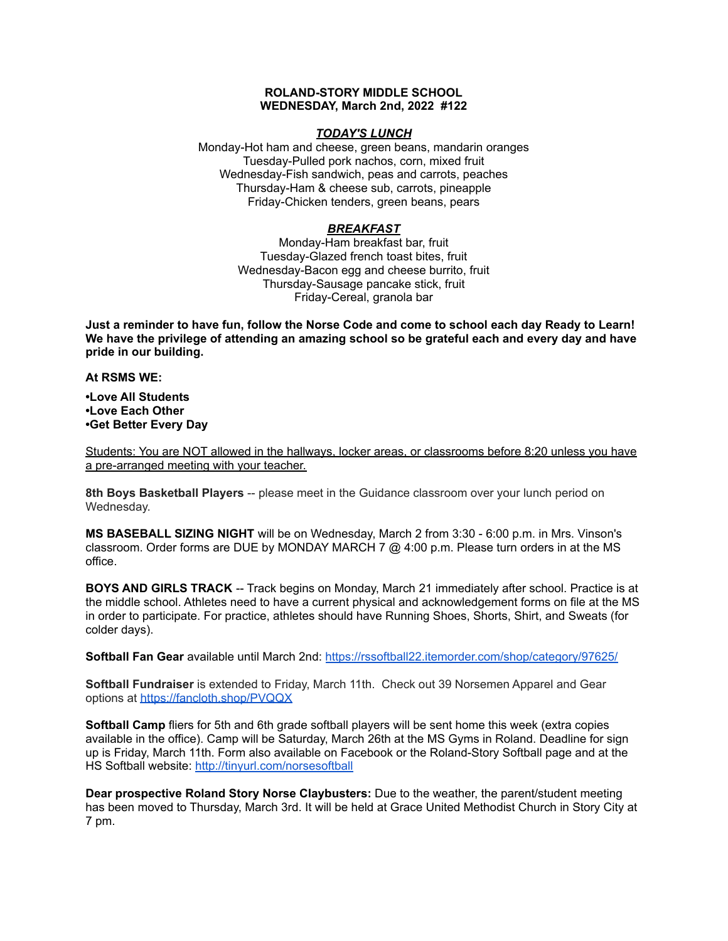## **ROLAND-STORY MIDDLE SCHOOL WEDNESDAY, March 2nd, 2022 #122**

## *TODAY'S LUNCH*

Monday-Hot ham and cheese, green beans, mandarin oranges Tuesday-Pulled pork nachos, corn, mixed fruit Wednesday-Fish sandwich, peas and carrots, peaches Thursday-Ham & cheese sub, carrots, pineapple Friday-Chicken tenders, green beans, pears

## *BREAKFAST*

Monday-Ham breakfast bar, fruit Tuesday-Glazed french toast bites, fruit Wednesday-Bacon egg and cheese burrito, fruit Thursday-Sausage pancake stick, fruit Friday-Cereal, granola bar

Just a reminder to have fun, follow the Norse Code and come to school each day Ready to Learn! **We have the privilege of attending an amazing school so be grateful each and every day and have pride in our building.**

**At RSMS WE:**

**•Love All Students •Love Each Other •Get Better Every Day**

Students: You are NOT allowed in the hallways, locker areas, or classrooms before 8:20 unless you have a pre-arranged meeting with your teacher.

**8th Boys Basketball Players** -- please meet in the Guidance classroom over your lunch period on Wednesday.

**MS BASEBALL SIZING NIGHT** will be on Wednesday, March 2 from 3:30 - 6:00 p.m. in Mrs. Vinson's classroom. Order forms are DUE by MONDAY MARCH 7 @ 4:00 p.m. Please turn orders in at the MS office.

**BOYS AND GIRLS TRACK** -- Track begins on Monday, March 21 immediately after school. Practice is at the middle school. Athletes need to have a current physical and acknowledgement forms on file at the MS in order to participate. For practice, athletes should have Running Shoes, Shorts, Shirt, and Sweats (for colder days).

**Softball Fan Gear** available until March 2nd: <https://rssoftball22.itemorder.com/shop/category/97625/>

**Softball Fundraiser** is extended to Friday, March 11th. Check out 39 Norsemen Apparel and Gear options at <https://fancloth.shop/PVQQX>

**Softball Camp** fliers for 5th and 6th grade softball players will be sent home this week (extra copies available in the office). Camp will be Saturday, March 26th at the MS Gyms in Roland. Deadline for sign up is Friday, March 11th. Form also available on Facebook or the Roland-Story Softball page and at the HS Softball website: <http://tinyurl.com/norsesoftball>

**Dear prospective Roland Story Norse Claybusters:** Due to the weather, the parent/student meeting has been moved to Thursday, March 3rd. It will be held at Grace United Methodist Church in Story City at 7 pm.